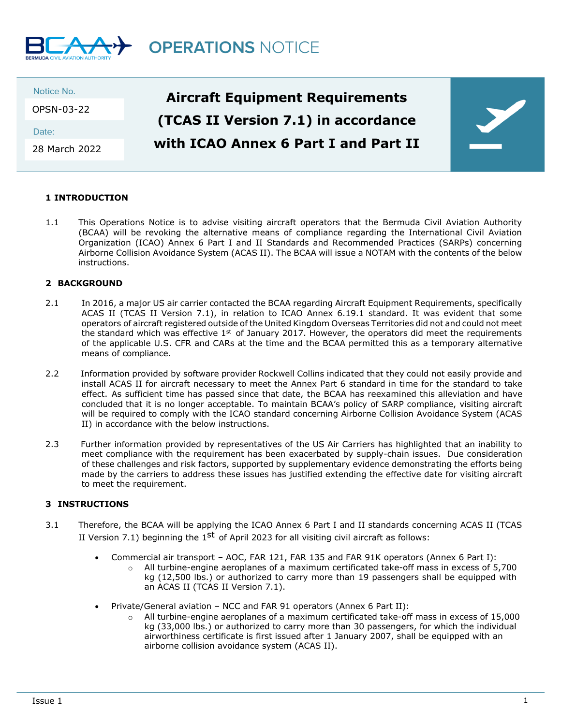

| Date:         | Notice No.<br>OPSN-03-22 | <b>Aircraft Equipment Requirements</b> |  |
|---------------|--------------------------|----------------------------------------|--|
|               |                          | (TCAS II Version 7.1) in accordance    |  |
| 28 March 2022 |                          | with ICAO Annex 6 Part I and Part II   |  |

## **1 INTRODUCTION**

1.1 This Operations Notice is to advise visiting aircraft operators that the Bermuda Civil Aviation Authority (BCAA) will be revoking the alternative means of compliance regarding the International Civil Aviation Organization (ICAO) Annex 6 Part I and II Standards and Recommended Practices (SARPs) concerning Airborne Collision Avoidance System (ACAS II). The BCAA will issue a NOTAM with the contents of the below instructions.

## **2 BACKGROUND**

- 2.1 In 2016, a major US air carrier contacted the BCAA regarding Aircraft Equipment Requirements, specifically ACAS II (TCAS II Version 7.1), in relation to ICAO Annex 6.19.1 standard. It was evident that some operators of aircraft registered outside of the United Kingdom Overseas Territories did not and could not meet the standard which was effective  $1<sup>st</sup>$  of January 2017. However, the operators did meet the requirements of the applicable U.S. CFR and CARs at the time and the BCAA permitted this as a temporary alternative means of compliance.
- 2.2 Information provided by software provider Rockwell Collins indicated that they could not easily provide and install ACAS II for aircraft necessary to meet the Annex Part 6 standard in time for the standard to take effect. As sufficient time has passed since that date, the BCAA has reexamined this alleviation and have concluded that it is no longer acceptable. To maintain BCAA's policy of SARP compliance, visiting aircraft will be required to comply with the ICAO standard concerning Airborne Collision Avoidance System (ACAS II) in accordance with the below instructions.
- 2.3 Further information provided by representatives of the US Air Carriers has highlighted that an inability to meet compliance with the requirement has been exacerbated by supply-chain issues. Due consideration of these challenges and risk factors, supported by supplementary evidence demonstrating the efforts being made by the carriers to address these issues has justified extending the effective date for visiting aircraft to meet the requirement.

## **3 INSTRUCTIONS**

- 3.1 Therefore, the BCAA will be applying the ICAO Annex 6 Part I and II standards concerning ACAS II (TCAS II Version 7.1) beginning the  $1<sup>st</sup>$  of April 2023 for all visiting civil aircraft as follows:
	- Commercial air transport AOC, FAR 121, FAR 135 and FAR 91K operators (Annex 6 Part I):
		- o All turbine-engine aeroplanes of a maximum certificated take-off mass in excess of 5,700 kg (12,500 lbs.) or authorized to carry more than 19 passengers shall be equipped with an ACAS II (TCAS II Version 7.1).
	- Private/General aviation NCC and FAR 91 operators (Annex 6 Part II):
		- $\circ$  All turbine-engine aeroplanes of a maximum certificated take-off mass in excess of 15,000 kg (33,000 lbs.) or authorized to carry more than 30 passengers, for which the individual airworthiness certificate is first issued after 1 January 2007, shall be equipped with an airborne collision avoidance system (ACAS II).